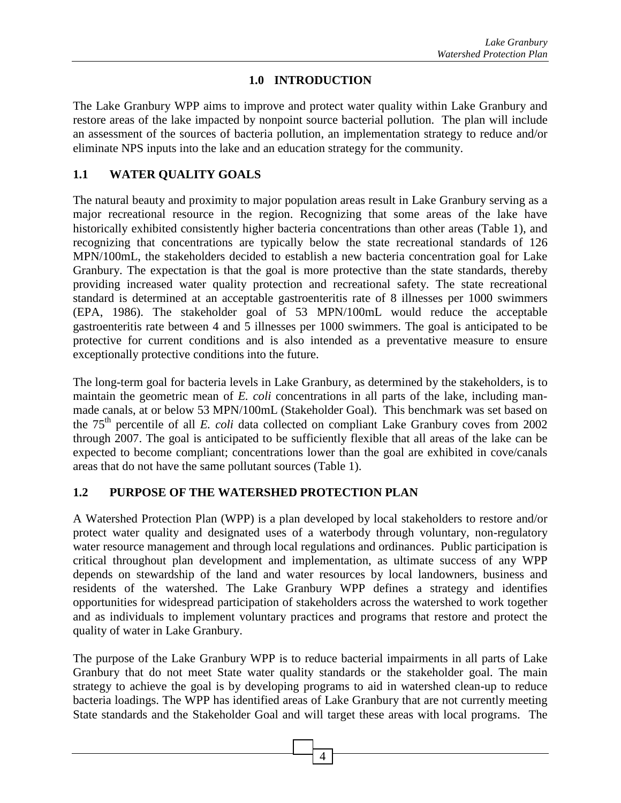### **1.0 INTRODUCTION**

The Lake Granbury WPP aims to improve and protect water quality within Lake Granbury and restore areas of the lake impacted by nonpoint source bacterial pollution. The plan will include an assessment of the sources of bacteria pollution, an implementation strategy to reduce and/or eliminate NPS inputs into the lake and an education strategy for the community.

## **1.1 WATER QUALITY GOALS**

The natural beauty and proximity to major population areas result in Lake Granbury serving as a major recreational resource in the region. Recognizing that some areas of the lake have historically exhibited consistently higher bacteria concentrations than other areas (Table 1), and recognizing that concentrations are typically below the state recreational standards of 126 MPN/100mL, the stakeholders decided to establish a new bacteria concentration goal for Lake Granbury. The expectation is that the goal is more protective than the state standards, thereby providing increased water quality protection and recreational safety. The state recreational standard is determined at an acceptable gastroenteritis rate of 8 illnesses per 1000 swimmers (EPA, 1986). The stakeholder goal of 53 MPN/100mL would reduce the acceptable gastroenteritis rate between 4 and 5 illnesses per 1000 swimmers. The goal is anticipated to be protective for current conditions and is also intended as a preventative measure to ensure exceptionally protective conditions into the future.

The long-term goal for bacteria levels in Lake Granbury, as determined by the stakeholders, is to maintain the geometric mean of *E. coli* concentrations in all parts of the lake, including manmade canals, at or below 53 MPN/100mL (Stakeholder Goal). This benchmark was set based on the 75th percentile of all *E. coli* data collected on compliant Lake Granbury coves from 2002 through 2007. The goal is anticipated to be sufficiently flexible that all areas of the lake can be expected to become compliant; concentrations lower than the goal are exhibited in cove/canals areas that do not have the same pollutant sources (Table 1).

### **1.2 PURPOSE OF THE WATERSHED PROTECTION PLAN**

A Watershed Protection Plan (WPP) is a plan developed by local stakeholders to restore and/or protect water quality and designated uses of a waterbody through voluntary, non-regulatory water resource management and through local regulations and ordinances. Public participation is critical throughout plan development and implementation, as ultimate success of any WPP depends on stewardship of the land and water resources by local landowners, business and residents of the watershed. The Lake Granbury WPP defines a strategy and identifies opportunities for widespread participation of stakeholders across the watershed to work together and as individuals to implement voluntary practices and programs that restore and protect the quality of water in Lake Granbury.

The purpose of the Lake Granbury WPP is to reduce bacterial impairments in all parts of Lake Granbury that do not meet State water quality standards or the stakeholder goal. The main strategy to achieve the goal is by developing programs to aid in watershed clean-up to reduce bacteria loadings. The WPP has identified areas of Lake Granbury that are not currently meeting State standards and the Stakeholder Goal and will target these areas with local programs. The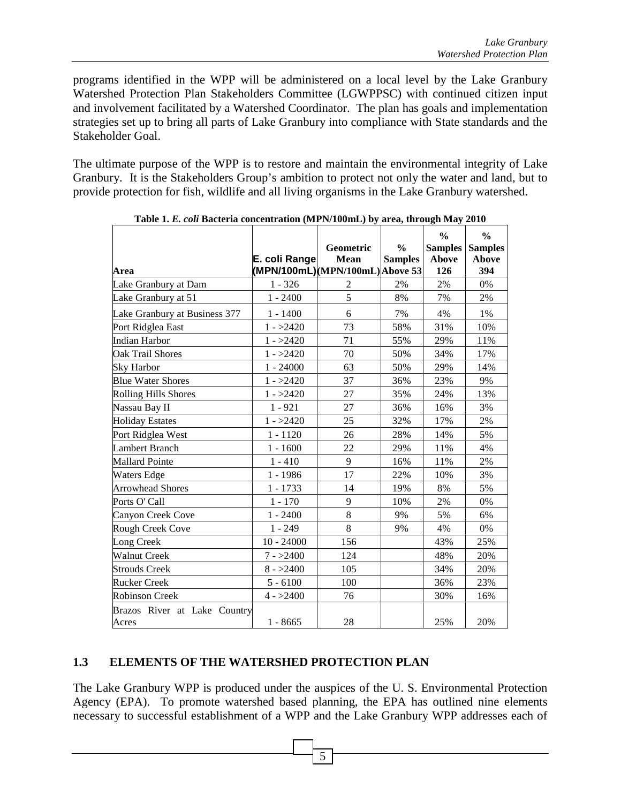programs identified in the WPP will be administered on a local level by the Lake Granbury Watershed Protection Plan Stakeholders Committee (LGWPPSC) with continued citizen input and involvement facilitated by a Watershed Coordinator. The plan has goals and implementation strategies set up to bring all parts of Lake Granbury into compliance with State standards and the Stakeholder Goal.

The ultimate purpose of the WPP is to restore and maintain the environmental integrity of Lake Granbury. It is the Stakeholders Group's ambition to protect not only the water and land, but to provide protection for fish, wildlife and all living organisms in the Lake Granbury watershed.

|                                       |               | Geometric                        | $\frac{0}{0}$  | $\frac{0}{0}$<br><b>Samples</b> | $\frac{0}{0}$<br><b>Samples</b> |
|---------------------------------------|---------------|----------------------------------|----------------|---------------------------------|---------------------------------|
|                                       | E. coli Range | Mean                             | <b>Samples</b> | <b>Above</b>                    | <b>Above</b>                    |
| Area                                  |               | (MPN/100mL) (MPN/100mL) Above 53 |                | 126                             | 394                             |
| Lake Granbury at Dam                  | $1 - 326$     | 2                                | 2%             | 2%                              | $0\%$                           |
| Lake Granbury at 51                   | $1 - 2400$    | 5                                | 8%             | 7%                              | 2%                              |
| Lake Granbury at Business 377         | $1 - 1400$    | 6                                | 7%             | 4%                              | 1%                              |
| Port Ridglea East                     | $1 - >2420$   | 73                               | 58%            | 31%                             | 10%                             |
| Indian Harbor                         | $1 - >2420$   | 71                               | 55%            | 29%                             | 11%                             |
| <b>Oak Trail Shores</b>               | $1 - >2420$   | 70                               | 50%            | 34%                             | 17%                             |
| <b>Sky Harbor</b>                     | $1 - 24000$   | 63                               | 50%            | 29%                             | 14%                             |
| <b>Blue Water Shores</b>              | $1 - >2420$   | 37                               | 36%            | 23%                             | 9%                              |
| <b>Rolling Hills Shores</b>           | $1 - >2420$   | 27                               | 35%            | 24%                             | 13%                             |
| Nassau Bay II                         | $1 - 921$     | 27                               | 36%            | 16%                             | 3%                              |
| <b>Holiday Estates</b>                | $1 - >2420$   | 25                               | 32%            | 17%                             | 2%                              |
| Port Ridglea West                     | $1 - 1120$    | 26                               | 28%            | 14%                             | 5%                              |
| <b>Lambert Branch</b>                 | $1 - 1600$    | 22                               | 29%            | 11%                             | 4%                              |
| <b>Mallard Pointe</b>                 | $1 - 410$     | 9                                | 16%            | 11%                             | 2%                              |
| Waters Edge                           | $1 - 1986$    | 17                               | 22%            | 10%                             | 3%                              |
| <b>Arrowhead Shores</b>               | 1 - 1733      | 14                               | 19%            | 8%                              | 5%                              |
| Ports O' Call                         | $1 - 170$     | 9                                | 10%            | 2%                              | 0%                              |
| Canyon Creek Cove                     | $1 - 2400$    | 8                                | 9%             | 5%                              | 6%                              |
| Rough Creek Cove                      | $1 - 249$     | 8                                | 9%             | 4%                              | 0%                              |
| Long Creek                            | $10 - 24000$  | 156                              |                | 43%                             | 25%                             |
| <b>Walnut Creek</b>                   | $7 - >2400$   | 124                              |                | 48%                             | 20%                             |
| <b>Strouds Creek</b>                  | $8 - >2400$   | 105                              |                | 34%                             | 20%                             |
| <b>Rucker Creek</b>                   | $5 - 6100$    | 100                              |                | 36%                             | 23%                             |
| <b>Robinson Creek</b>                 | $4 - 2400$    | 76                               |                | 30%                             | 16%                             |
| Brazos River at Lake Country<br>Acres | $1 - 8665$    | 28                               |                | 25%                             | 20%                             |

**Table 1.** *E. coli* **Bacteria concentration (MPN/100mL) by area, through May 2010** 

# **1.3 ELEMENTS OF THE WATERSHED PROTECTION PLAN**

The Lake Granbury WPP is produced under the auspices of the U. S. Environmental Protection Agency (EPA). To promote watershed based planning, the EPA has outlined nine elements necessary to successful establishment of a WPP and the Lake Granbury WPP addresses each of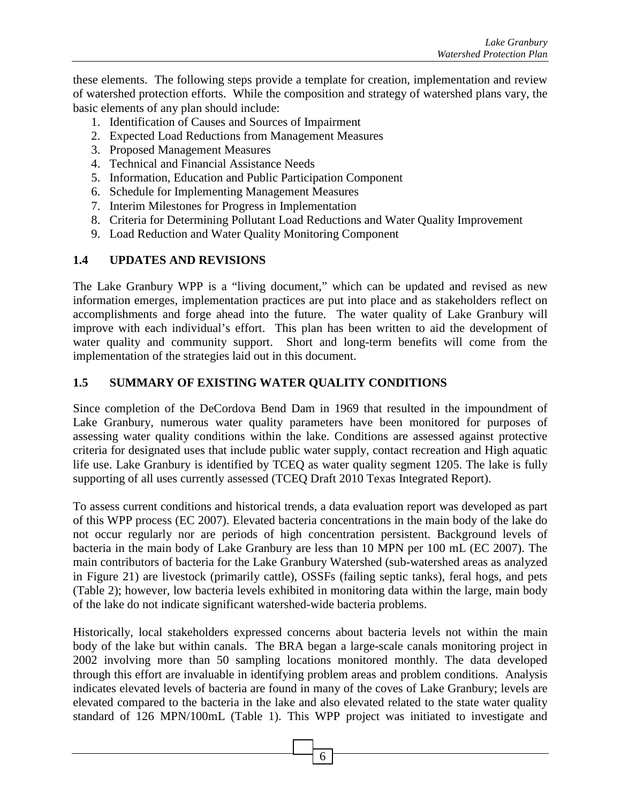these elements. The following steps provide a template for creation, implementation and review of watershed protection efforts. While the composition and strategy of watershed plans vary, the basic elements of any plan should include:

- 1. Identification of Causes and Sources of Impairment
- 2. Expected Load Reductions from Management Measures
- 3. Proposed Management Measures
- 4. Technical and Financial Assistance Needs
- 5. Information, Education and Public Participation Component
- 6. Schedule for Implementing Management Measures
- 7. Interim Milestones for Progress in Implementation
- 8. Criteria for Determining Pollutant Load Reductions and Water Quality Improvement
- 9. Load Reduction and Water Quality Monitoring Component

#### **1.4 UPDATES AND REVISIONS**

The Lake Granbury WPP is a "living document," which can be updated and revised as new information emerges, implementation practices are put into place and as stakeholders reflect on accomplishments and forge ahead into the future. The water quality of Lake Granbury will improve with each individual's effort. This plan has been written to aid the development of water quality and community support. Short and long-term benefits will come from the implementation of the strategies laid out in this document.

### **1.5 SUMMARY OF EXISTING WATER QUALITY CONDITIONS**

Since completion of the DeCordova Bend Dam in 1969 that resulted in the impoundment of Lake Granbury, numerous water quality parameters have been monitored for purposes of assessing water quality conditions within the lake. Conditions are assessed against protective criteria for designated uses that include public water supply, contact recreation and High aquatic life use. Lake Granbury is identified by TCEQ as water quality segment 1205. The lake is fully supporting of all uses currently assessed (TCEQ Draft 2010 Texas Integrated Report).

To assess current conditions and historical trends, a data evaluation report was developed as part of this WPP process (EC 2007). Elevated bacteria concentrations in the main body of the lake do not occur regularly nor are periods of high concentration persistent. Background levels of bacteria in the main body of Lake Granbury are less than 10 MPN per 100 mL (EC 2007). The main contributors of bacteria for the Lake Granbury Watershed (sub-watershed areas as analyzed in Figure 21) are livestock (primarily cattle), OSSFs (failing septic tanks), feral hogs, and pets (Table 2); however, low bacteria levels exhibited in monitoring data within the large, main body of the lake do not indicate significant watershed-wide bacteria problems.

Historically, local stakeholders expressed concerns about bacteria levels not within the main body of the lake but within canals. The BRA began a large-scale canals monitoring project in 2002 involving more than 50 sampling locations monitored monthly. The data developed through this effort are invaluable in identifying problem areas and problem conditions. Analysis indicates elevated levels of bacteria are found in many of the coves of Lake Granbury; levels are elevated compared to the bacteria in the lake and also elevated related to the state water quality standard of 126 MPN/100mL (Table 1). This WPP project was initiated to investigate and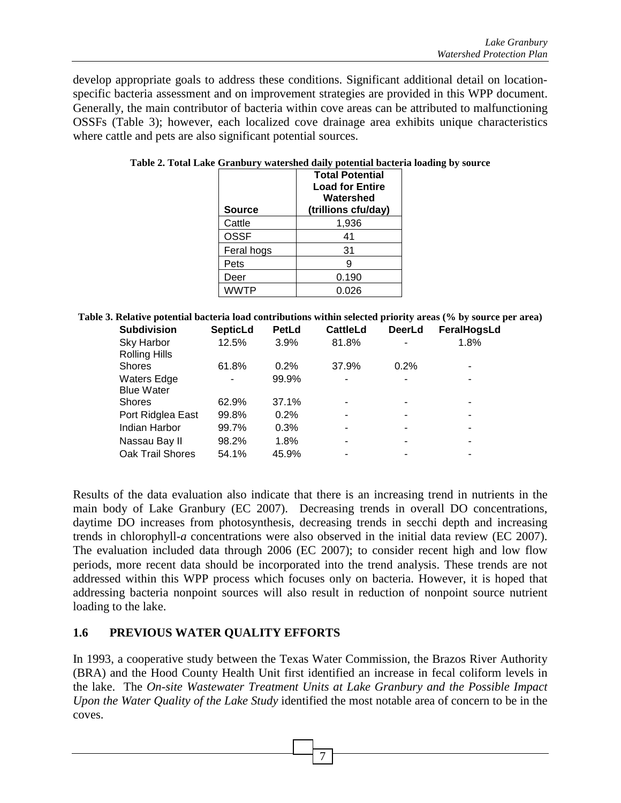develop appropriate goals to address these conditions. Significant additional detail on locationspecific bacteria assessment and on improvement strategies are provided in this WPP document. Generally, the main contributor of bacteria within cove areas can be attributed to malfunctioning OSSFs (Table 3); however, each localized cove drainage area exhibits unique characteristics where cattle and pets are also significant potential sources.

| <b>Source</b> | <b>Total Potential</b><br><b>Load for Entire</b><br>Watershed<br>(trillions cfu/day) |
|---------------|--------------------------------------------------------------------------------------|
| Cattle        | 1,936                                                                                |
| <b>OSSF</b>   | 41                                                                                   |
| Feral hogs    | 31                                                                                   |
| Pets          | 9                                                                                    |
| Deer          | 0.190                                                                                |
| <b>WWTP</b>   | 0.026                                                                                |

**Table 2. Total Lake Granbury watershed daily potential bacteria loading by source** 

**Table 3. Relative potential bacteria load contributions within selected priority areas (% by source per area)** 

| <b>Subdivision</b>      | <b>SepticLd</b>              | PetLd | <b>CattleLd</b>              | <b>DeerLd</b> | FeralHogsLd |
|-------------------------|------------------------------|-------|------------------------------|---------------|-------------|
| Sky Harbor              | 12.5%                        | 3.9%  | 81.8%                        |               | 1.8%        |
| <b>Rolling Hills</b>    |                              |       |                              |               |             |
| <b>Shores</b>           | 61.8%                        | 0.2%  | 37.9%                        | 0.2%          |             |
| Waters Edge             | $\qquad \qquad \blacksquare$ | 99.9% | -                            |               |             |
| <b>Blue Water</b>       |                              |       |                              |               |             |
| <b>Shores</b>           | 62.9%                        | 37.1% | -                            |               | -           |
| Port Ridglea East       | 99.8%                        | 0.2%  | $\qquad \qquad \blacksquare$ |               | ۰           |
| Indian Harbor           | 99.7%                        | 0.3%  | ۰                            |               | -           |
| Nassau Bay II           | 98.2%                        | 1.8%  | $\blacksquare$               |               | ۰           |
| <b>Oak Trail Shores</b> | 54.1%                        | 45.9% | ۰                            |               | -           |

Results of the data evaluation also indicate that there is an increasing trend in nutrients in the main body of Lake Granbury (EC 2007). Decreasing trends in overall DO concentrations, daytime DO increases from photosynthesis, decreasing trends in secchi depth and increasing trends in chlorophyll-*a* concentrations were also observed in the initial data review (EC 2007). The evaluation included data through 2006 (EC 2007); to consider recent high and low flow periods, more recent data should be incorporated into the trend analysis. These trends are not addressed within this WPP process which focuses only on bacteria. However, it is hoped that addressing bacteria nonpoint sources will also result in reduction of nonpoint source nutrient loading to the lake.

### **1.6 PREVIOUS WATER QUALITY EFFORTS**

In 1993, a cooperative study between the Texas Water Commission, the Brazos River Authority (BRA) and the Hood County Health Unit first identified an increase in fecal coliform levels in the lake. The *On-site Wastewater Treatment Units at Lake Granbury and the Possible Impact Upon the Water Quality of the Lake Study* identified the most notable area of concern to be in the coves.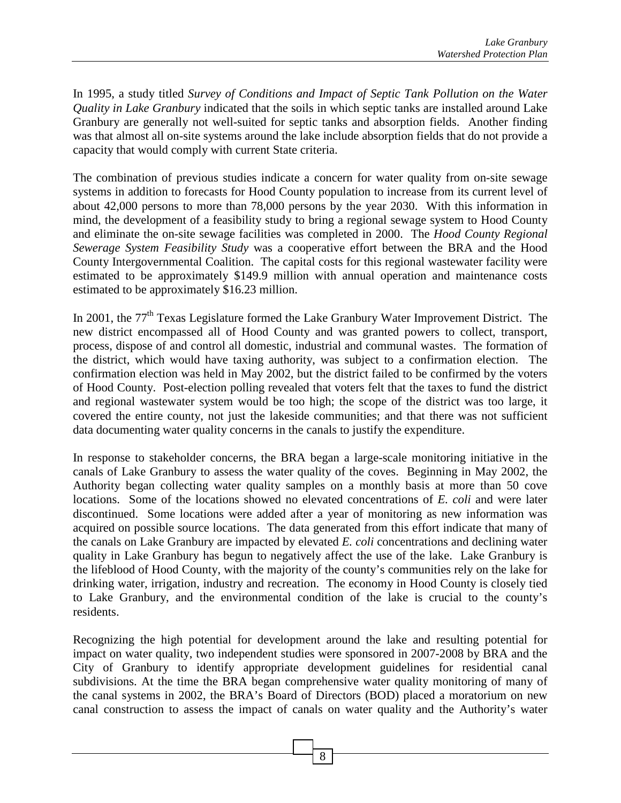In 1995, a study titled *Survey of Conditions and Impact of Septic Tank Pollution on the Water Quality in Lake Granbury* indicated that the soils in which septic tanks are installed around Lake Granbury are generally not well-suited for septic tanks and absorption fields. Another finding was that almost all on-site systems around the lake include absorption fields that do not provide a capacity that would comply with current State criteria.

The combination of previous studies indicate a concern for water quality from on-site sewage systems in addition to forecasts for Hood County population to increase from its current level of about 42,000 persons to more than 78,000 persons by the year 2030. With this information in mind, the development of a feasibility study to bring a regional sewage system to Hood County and eliminate the on-site sewage facilities was completed in 2000. The *Hood County Regional Sewerage System Feasibility Study* was a cooperative effort between the BRA and the Hood County Intergovernmental Coalition. The capital costs for this regional wastewater facility were estimated to be approximately \$149.9 million with annual operation and maintenance costs estimated to be approximately \$16.23 million.

In 2001, the 77<sup>th</sup> Texas Legislature formed the Lake Granbury Water Improvement District. The new district encompassed all of Hood County and was granted powers to collect, transport, process, dispose of and control all domestic, industrial and communal wastes. The formation of the district, which would have taxing authority, was subject to a confirmation election. The confirmation election was held in May 2002, but the district failed to be confirmed by the voters of Hood County. Post-election polling revealed that voters felt that the taxes to fund the district and regional wastewater system would be too high; the scope of the district was too large, it covered the entire county, not just the lakeside communities; and that there was not sufficient data documenting water quality concerns in the canals to justify the expenditure.

In response to stakeholder concerns, the BRA began a large-scale monitoring initiative in the canals of Lake Granbury to assess the water quality of the coves. Beginning in May 2002, the Authority began collecting water quality samples on a monthly basis at more than 50 cove locations. Some of the locations showed no elevated concentrations of *E. coli* and were later discontinued. Some locations were added after a year of monitoring as new information was acquired on possible source locations. The data generated from this effort indicate that many of the canals on Lake Granbury are impacted by elevated *E. coli* concentrations and declining water quality in Lake Granbury has begun to negatively affect the use of the lake. Lake Granbury is the lifeblood of Hood County, with the majority of the county's communities rely on the lake for drinking water, irrigation, industry and recreation. The economy in Hood County is closely tied to Lake Granbury, and the environmental condition of the lake is crucial to the county's residents.

Recognizing the high potential for development around the lake and resulting potential for impact on water quality, two independent studies were sponsored in 2007-2008 by BRA and the City of Granbury to identify appropriate development guidelines for residential canal subdivisions. At the time the BRA began comprehensive water quality monitoring of many of the canal systems in 2002, the BRA's Board of Directors (BOD) placed a moratorium on new canal construction to assess the impact of canals on water quality and the Authority's water